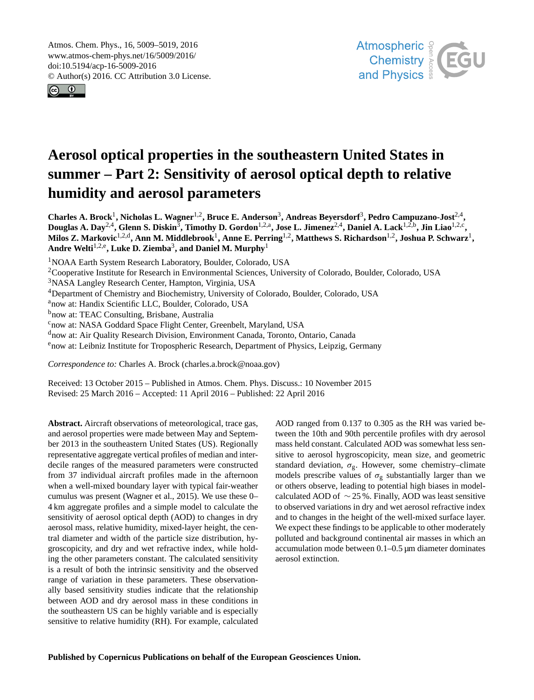<span id="page-0-1"></span>Atmos. Chem. Phys., 16, 5009–5019, 2016 www.atmos-chem-phys.net/16/5009/2016/ doi:10.5194/acp-16-5009-2016 © Author(s) 2016. CC Attribution 3.0 License.





# **Aerosol optical properties in the southeastern United States in summer – Part 2: Sensitivity of aerosol optical depth to relative humidity and aerosol parameters**

Charles A. Brock<sup>[1](#page-0-0)</sup>, Nicholas L. Wagner<sup>[1,2](#page-0-0)</sup>, Bruce E. Anderson<sup>[3](#page-0-0)</sup>, Andreas Beyersdorf<sup>3</sup>, Pedro Campuzano-Jost<sup>[2,4](#page-0-0)</sup>, Douglas A. Day<sup>[2,4](#page-0-0)</sup>, Glenn S. Diskin<sup>[3](#page-0-0)</sup>, Timothy D. Gordon<sup>[1,2,a](#page-0-0)</sup>, Jose L. Jimenez<sup>2,4</sup>, Daniel A. Lack<sup>[1,2,b](#page-0-0)</sup>, Jin Liao<sup>[1,2,c](#page-0-0)</sup>, **Milos Z. Markovic**[1,2,d](#page-0-0) **, Ann M. Middlebrook**[1](#page-0-0) **, Anne E. Perring**[1,2](#page-0-0) **, Matthews S. Richardson**[1,2](#page-0-0) **, Joshua P. Schwarz**[1](#page-0-0) **, Andre Welti**[1,2,e](#page-0-0) **, Luke D. Ziemba**[3](#page-0-0) **, and Daniel M. Murphy**[1](#page-0-0)

<sup>1</sup>NOAA Earth System Research Laboratory, Boulder, Colorado, USA

<sup>2</sup>Cooperative Institute for Research in Environmental Sciences, University of Colorado, Boulder, Colorado, USA

<sup>3</sup>NASA Langley Research Center, Hampton, Virginia, USA

<sup>4</sup>Department of Chemistry and Biochemistry, University of Colorado, Boulder, Colorado, USA

<sup>a</sup>now at: Handix Scientific LLC, Boulder, Colorado, USA

bnow at: TEAC Consulting, Brisbane, Australia

<sup>c</sup>now at: NASA Goddard Space Flight Center, Greenbelt, Maryland, USA

<sup>d</sup>now at: Air Quality Research Division, Environment Canada, Toronto, Ontario, Canada

<sup>e</sup>now at: Leibniz Institute for Tropospheric Research, Department of Physics, Leipzig, Germany

*Correspondence to:* Charles A. Brock (charles.a.brock@noaa.gov)

Received: 13 October 2015 – Published in Atmos. Chem. Phys. Discuss.: 10 November 2015 Revised: 25 March 2016 – Accepted: 11 April 2016 – Published: 22 April 2016

<span id="page-0-0"></span>**Abstract.** Aircraft observations of meteorological, trace gas, and aerosol properties were made between May and September 2013 in the southeastern United States (US). Regionally representative aggregate vertical profiles of median and interdecile ranges of the measured parameters were constructed from 37 individual aircraft profiles made in the afternoon when a well-mixed boundary layer with typical fair-weather cumulus was present (Wagner et al., 2015). We use these 0– 4 km aggregate profiles and a simple model to calculate the sensitivity of aerosol optical depth (AOD) to changes in dry aerosol mass, relative humidity, mixed-layer height, the central diameter and width of the particle size distribution, hygroscopicity, and dry and wet refractive index, while holding the other parameters constant. The calculated sensitivity is a result of both the intrinsic sensitivity and the observed range of variation in these parameters. These observationally based sensitivity studies indicate that the relationship between AOD and dry aerosol mass in these conditions in the southeastern US can be highly variable and is especially sensitive to relative humidity (RH). For example, calculated

AOD ranged from 0.137 to 0.305 as the RH was varied between the 10th and 90th percentile profiles with dry aerosol mass held constant. Calculated AOD was somewhat less sensitive to aerosol hygroscopicity, mean size, and geometric standard deviation,  $\sigma_{g}$ . However, some chemistry–climate models prescribe values of  $\sigma_{\rm g}$  substantially larger than we or others observe, leading to potential high biases in modelcalculated AOD of  $\sim$  25 %. Finally, AOD was least sensitive to observed variations in dry and wet aerosol refractive index and to changes in the height of the well-mixed surface layer. We expect these findings to be applicable to other moderately polluted and background continental air masses in which an accumulation mode between 0.1–0.5 µm diameter dominates aerosol extinction.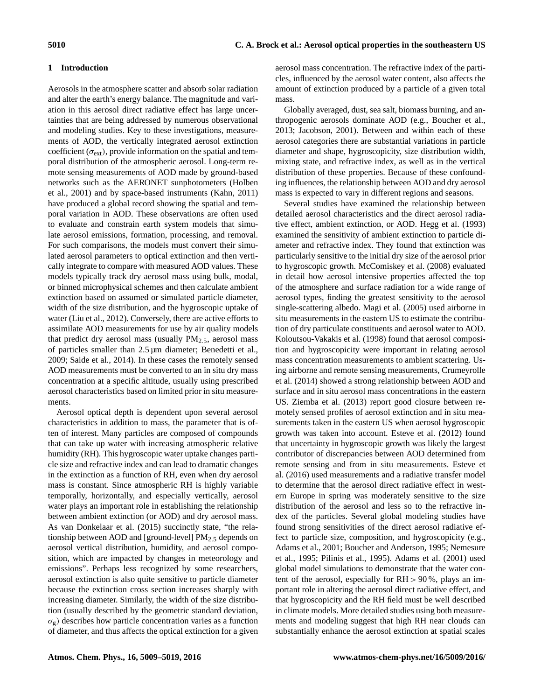# **1 Introduction**

Aerosols in the atmosphere scatter and absorb solar radiation and alter the earth's energy balance. The magnitude and variation in this aerosol direct radiative effect has large uncertainties that are being addressed by numerous observational and modeling studies. Key to these investigations, measurements of AOD, the vertically integrated aerosol extinction coefficient ( $\sigma_{ext}$ ), provide information on the spatial and temporal distribution of the atmospheric aerosol. Long-term remote sensing measurements of AOD made by ground-based networks such as the AERONET sunphotometers (Holben et al., 2001) and by space-based instruments (Kahn, 2011) have produced a global record showing the spatial and temporal variation in AOD. These observations are often used to evaluate and constrain earth system models that simulate aerosol emissions, formation, processing, and removal. For such comparisons, the models must convert their simulated aerosol parameters to optical extinction and then vertically integrate to compare with measured AOD values. These models typically track dry aerosol mass using bulk, modal, or binned microphysical schemes and then calculate ambient extinction based on assumed or simulated particle diameter, width of the size distribution, and the hygroscopic uptake of water (Liu et al., 2012). Conversely, there are active efforts to assimilate AOD measurements for use by air quality models that predict dry aerosol mass (usually  $PM_{2.5}$ , aerosol mass of particles smaller than 2.5 µm diameter; Benedetti et al., 2009; Saide et al., 2014). In these cases the remotely sensed AOD measurements must be converted to an in situ dry mass concentration at a specific altitude, usually using prescribed aerosol characteristics based on limited prior in situ measurements.

Aerosol optical depth is dependent upon several aerosol characteristics in addition to mass, the parameter that is often of interest. Many particles are composed of compounds that can take up water with increasing atmospheric relative humidity (RH). This hygroscopic water uptake changes particle size and refractive index and can lead to dramatic changes in the extinction as a function of RH, even when dry aerosol mass is constant. Since atmospheric RH is highly variable temporally, horizontally, and especially vertically, aerosol water plays an important role in establishing the relationship between ambient extinction (or AOD) and dry aerosol mass. As van Donkelaar et al. (2015) succinctly state, "the relationship between AOD and [ground-level]  $PM<sub>2.5</sub>$  depends on aerosol vertical distribution, humidity, and aerosol composition, which are impacted by changes in meteorology and emissions". Perhaps less recognized by some researchers, aerosol extinction is also quite sensitive to particle diameter because the extinction cross section increases sharply with increasing diameter. Similarly, the width of the size distribution (usually described by the geometric standard deviation,  $\sigma_{g}$ ) describes how particle concentration varies as a function of diameter, and thus affects the optical extinction for a given aerosol mass concentration. The refractive index of the particles, influenced by the aerosol water content, also affects the amount of extinction produced by a particle of a given total mass.

Globally averaged, dust, sea salt, biomass burning, and anthropogenic aerosols dominate AOD (e.g., Boucher et al., 2013; Jacobson, 2001). Between and within each of these aerosol categories there are substantial variations in particle diameter and shape, hygroscopicity, size distribution width, mixing state, and refractive index, as well as in the vertical distribution of these properties. Because of these confounding influences, the relationship between AOD and dry aerosol mass is expected to vary in different regions and seasons.

Several studies have examined the relationship between detailed aerosol characteristics and the direct aerosol radiative effect, ambient extinction, or AOD. Hegg et al. (1993) examined the sensitivity of ambient extinction to particle diameter and refractive index. They found that extinction was particularly sensitive to the initial dry size of the aerosol prior to hygroscopic growth. McComiskey et al. (2008) evaluated in detail how aerosol intensive properties affected the top of the atmosphere and surface radiation for a wide range of aerosol types, finding the greatest sensitivity to the aerosol single-scattering albedo. Magi et al. (2005) used airborne in situ measurements in the eastern US to estimate the contribution of dry particulate constituents and aerosol water to AOD. Koloutsou-Vakakis et al. (1998) found that aerosol composition and hygroscopicity were important in relating aerosol mass concentration measurements to ambient scattering. Using airborne and remote sensing measurements, Crumeyrolle et al. (2014) showed a strong relationship between AOD and surface and in situ aerosol mass concentrations in the eastern US. Ziemba et al. (2013) report good closure between remotely sensed profiles of aerosol extinction and in situ measurements taken in the eastern US when aerosol hygroscopic growth was taken into account. Esteve et al. (2012) found that uncertainty in hygroscopic growth was likely the largest contributor of discrepancies between AOD determined from remote sensing and from in situ measurements. Esteve et al. (2016) used measurements and a radiative transfer model to determine that the aerosol direct radiative effect in western Europe in spring was moderately sensitive to the size distribution of the aerosol and less so to the refractive index of the particles. Several global modeling studies have found strong sensitivities of the direct aerosol radiative effect to particle size, composition, and hygroscopicity (e.g., Adams et al., 2001; Boucher and Anderson, 1995; Nemesure et al., 1995; Pilinis et al., 1995). Adams et al. (2001) used global model simulations to demonstrate that the water content of the aerosol, especially for RH > 90 %, plays an important role in altering the aerosol direct radiative effect, and that hygroscopicity and the RH field must be well described in climate models. More detailed studies using both measurements and modeling suggest that high RH near clouds can substantially enhance the aerosol extinction at spatial scales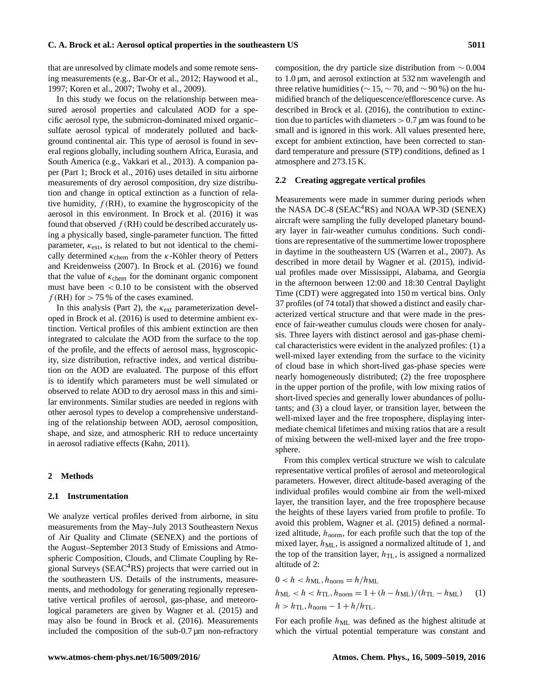that are unresolved by climate models and some remote sensing measurements (e.g., Bar-Or et al., 2012; Haywood et al., 1997; Koren et al., 2007; Twohy et al., 2009).

In this study we focus on the relationship between measured aerosol properties and calculated AOD for a specific aerosol type, the submicron-dominated mixed organic– sulfate aerosol typical of moderately polluted and background continental air. This type of aerosol is found in several regions globally, including southern Africa, Eurasia, and South America (e.g., Vakkari et al., 2013). A companion paper (Part 1; Brock et al., 2016) uses detailed in situ airborne measurements of dry aerosol composition, dry size distribution and change in optical extinction as a function of relative humidity,  $f(RH)$ , to examine the hygroscopicity of the aerosol in this environment. In Brock et al. (2016) it was found that observed  $f(RH)$  could be described accurately using a physically based, single-parameter function. The fitted parameter,  $\kappa_{\text{ext}}$ , is related to but not identical to the chemically determined  $\kappa_{\rm chem}$  from the  $\kappa$ -Köhler theory of Petters and Kreidenweiss (2007). In Brock et al. (2016) we found that the value of  $\kappa_{\rm chem}$  for the dominant organic component must have been  $< 0.10$  to be consistent with the observed  $f(RH)$  for  $> 75\%$  of the cases examined.

In this analysis (Part 2), the  $\kappa_{\rm ext}$  parameterization developed in Brock et al. (2016) is used to determine ambient extinction. Vertical profiles of this ambient extinction are then integrated to calculate the AOD from the surface to the top of the profile, and the effects of aerosol mass, hygroscopicity, size distribution, refractive index, and vertical distribution on the AOD are evaluated. The purpose of this effort is to identify which parameters must be well simulated or observed to relate AOD to dry aerosol mass in this and similar environments. Similar studies are needed in regions with other aerosol types to develop a comprehensive understanding of the relationship between AOD, aerosol composition, shape, and size, and atmospheric RH to reduce uncertainty in aerosol radiative effects (Kahn, 2011).

# **2 Methods**

# **2.1 Instrumentation**

We analyze vertical profiles derived from airborne, in situ measurements from the May–July 2013 Southeastern Nexus of Air Quality and Climate (SENEX) and the portions of the August–September 2013 Study of Emissions and Atmospheric Composition, Clouds, and Climate Coupling by Regional Surveys (SEAC<sup>4</sup>RS) projects that were carried out in the southeastern US. Details of the instruments, measurements, and methodology for generating regionally representative vertical profiles of aerosol, gas-phase, and meteorological parameters are given by Wagner et al. (2015) and may also be found in Brock et al. (2016). Measurements included the composition of the sub-0.7 µm non-refractory composition, the dry particle size distribution from  $\sim 0.004$ to 1.0 µm, and aerosol extinction at 532 nm wavelength and three relative humidities ( $\sim 15, \sim 70$ , and  $\sim 90\%$ ) on the humidified branch of the deliquescence/efflorescence curve. As described in Brock et al. (2016), the contribution to extinction due to particles with diameters  $> 0.7$  µm was found to be small and is ignored in this work. All values presented here, except for ambient extinction, have been corrected to standard temperature and pressure (STP) conditions, defined as 1 atmosphere and 273.15 K.

#### **2.2 Creating aggregate vertical profiles**

Measurements were made in summer during periods when the NASA DC-8 ( $SERC<sup>4</sup>RS$ ) and NOAA WP-3D ( $SENEX$ ) aircraft were sampling the fully developed planetary boundary layer in fair-weather cumulus conditions. Such conditions are representative of the summertime lower troposphere in daytime in the southeastern US (Warren et al., 2007). As described in more detail by Wagner et al. (2015), individual profiles made over Mississippi, Alabama, and Georgia in the afternoon between 12:00 and 18:30 Central Daylight Time (CDT) were aggregated into 150 m vertical bins. Only 37 profiles (of 74 total) that showed a distinct and easily characterized vertical structure and that were made in the presence of fair-weather cumulus clouds were chosen for analysis. Three layers with distinct aerosol and gas-phase chemical characteristics were evident in the analyzed profiles: (1) a well-mixed layer extending from the surface to the vicinity of cloud base in which short-lived gas-phase species were nearly homogeneously distributed; (2) the free troposphere in the upper portion of the profile, with low mixing ratios of short-lived species and generally lower abundances of pollutants; and (3) a cloud layer, or transition layer, between the well-mixed layer and the free troposphere, displaying intermediate chemical lifetimes and mixing ratios that are a result of mixing between the well-mixed layer and the free troposphere.

From this complex vertical structure we wish to calculate representative vertical profiles of aerosol and meteorological parameters. However, direct altitude-based averaging of the individual profiles would combine air from the well-mixed layer, the transition layer, and the free troposphere because the heights of these layers varied from profile to profile. To avoid this problem, Wagner et al. (2015) defined a normalized altitude,  $h_{\text{norm}}$ , for each profile such that the top of the mixed layer,  $h_{ML}$ , is assigned a normalized altitude of 1, and the top of the transition layer,  $h_{\text{TL}}$ , is assigned a normalized altitude of 2:

$$
0 < h < h_{ML}, h_{norm} = h/h_{ML}
$$
\n
$$
h_{ML} < h < h_{TL}, h_{norm} = 1 + (h - h_{ML})/(h_{TL} - h_{ML}) \tag{1}
$$
\n
$$
h > h_{TL}, h_{norm} - 1 + h/h_{TL}.
$$

For each profile  $h_{ML}$  was defined as the highest altitude at which the virtual potential temperature was constant and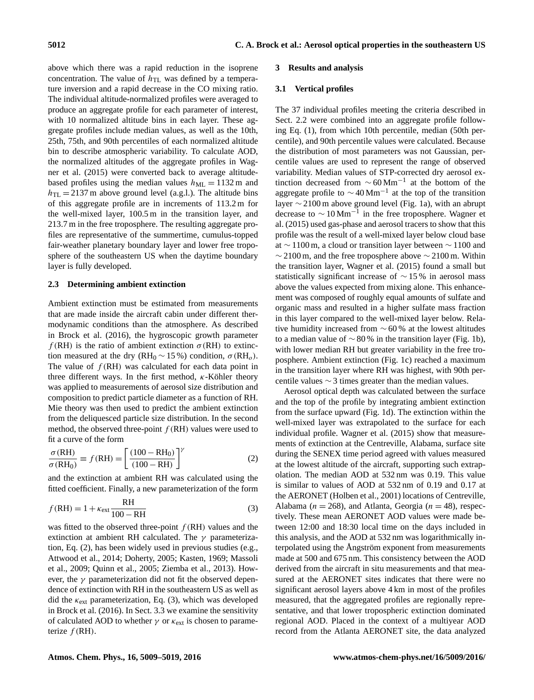above which there was a rapid reduction in the isoprene concentration. The value of  $h_{\text{TL}}$  was defined by a temperature inversion and a rapid decrease in the CO mixing ratio. The individual altitude-normalized profiles were averaged to produce an aggregate profile for each parameter of interest, with 10 normalized altitude bins in each layer. These aggregate profiles include median values, as well as the 10th, 25th, 75th, and 90th percentiles of each normalized altitude bin to describe atmospheric variability. To calculate AOD, the normalized altitudes of the aggregate profiles in Wagner et al. (2015) were converted back to average altitudebased profiles using the median values  $h_{ML} = 1132$  m and  $h_{\text{TL}} = 2137 \text{ m}$  above ground level (a.g.l.). The altitude bins of this aggregate profile are in increments of 113.2 m for the well-mixed layer, 100.5 m in the transition layer, and 213.7 m in the free troposphere. The resulting aggregate profiles are representative of the summertime, cumulus-topped fair-weather planetary boundary layer and lower free troposphere of the southeastern US when the daytime boundary layer is fully developed.

# **2.3 Determining ambient extinction**

Ambient extinction must be estimated from measurements that are made inside the aircraft cabin under different thermodynamic conditions than the atmosphere. As described in Brock et al. (2016), the hygroscopic growth parameter  $f(RH)$  is the ratio of ambient extinction  $\sigma(RH)$  to extinction measured at the dry (RH<sub>0</sub>  $\sim$  15 %) condition,  $\sigma$ (RH<sub>o</sub>). The value of  $f(RH)$  was calculated for each data point in three different ways. In the first method,  $\kappa$ -Köhler theory was applied to measurements of aerosol size distribution and composition to predict particle diameter as a function of RH. Mie theory was then used to predict the ambient extinction from the deliquesced particle size distribution. In the second method, the observed three-point  $f(RH)$  values were used to fit a curve of the form

$$
\frac{\sigma(\text{RH})}{\sigma(\text{RH}_0)} \equiv f(\text{RH}) = \left[\frac{(100 - \text{RH}_0)}{(100 - \text{RH})}\right]^\gamma \tag{2}
$$

and the extinction at ambient RH was calculated using the fitted coefficient. Finally, a new parameterization of the form

$$
f(RH) = 1 + \kappa_{\text{ext}} \frac{RH}{100 - RH}
$$
 (3)

was fitted to the observed three-point  $f(RH)$  values and the extinction at ambient RH calculated. The  $\gamma$  parameterization, Eq. (2), has been widely used in previous studies (e.g., Attwood et al., 2014; Doherty, 2005; Kasten, 1969; Massoli et al., 2009; Quinn et al., 2005; Ziemba et al., 2013). However, the  $\gamma$  parameterization did not fit the observed dependence of extinction with RH in the southeastern US as well as did the  $\kappa_{\rm ext}$  parameterization, Eq. (3), which was developed in Brock et al. (2016). In Sect. 3.3 we examine the sensitivity of calculated AOD to whether  $\gamma$  or  $\kappa_{\rm ext}$  is chosen to parameterize  $f(RH)$ .

#### **3 Results and analysis**

#### **3.1 Vertical profiles**

The 37 individual profiles meeting the criteria described in Sect. 2.2 were combined into an aggregate profile following Eq. (1), from which 10th percentile, median (50th percentile), and 90th percentile values were calculated. Because the distribution of most parameters was not Gaussian, percentile values are used to represent the range of observed variability. Median values of STP-corrected dry aerosol extinction decreased from  $\sim 60 \,\mathrm{Mm^{-1}}$  at the bottom of the aggregate profile to  $\sim$  40 Mm<sup>-1</sup> at the top of the transition layer ∼ 2100 m above ground level (Fig. 1a), with an abrupt decrease to  $\sim 10 \,\mathrm{Mm}^{-1}$  in the free troposphere. Wagner et al. (2015) used gas-phase and aerosol tracers to show that this profile was the result of a well-mixed layer below cloud base at ∼ 1100 m, a cloud or transition layer between ∼ 1100 and  $\sim$  2100 m, and the free troposphere above  $\sim$  2100 m. Within the transition layer, Wagner et al. (2015) found a small but statistically significant increase of ∼ 15 % in aerosol mass above the values expected from mixing alone. This enhancement was composed of roughly equal amounts of sulfate and organic mass and resulted in a higher sulfate mass fraction in this layer compared to the well-mixed layer below. Relative humidity increased from ∼ 60 % at the lowest altitudes to a median value of  $\sim$  80 % in the transition layer (Fig. 1b), with lower median RH but greater variability in the free troposphere. Ambient extinction (Fig. 1c) reached a maximum in the transition layer where RH was highest, with 90th percentile values  $\sim$  3 times greater than the median values.

Aerosol optical depth was calculated between the surface and the top of the profile by integrating ambient extinction from the surface upward (Fig. 1d). The extinction within the well-mixed layer was extrapolated to the surface for each individual profile. Wagner et al. (2015) show that measurements of extinction at the Centreville, Alabama, surface site during the SENEX time period agreed with values measured at the lowest altitude of the aircraft, supporting such extrapolation. The median AOD at 532 nm was 0.19. This value is similar to values of AOD at 532 nm of 0.19 and 0.17 at the AERONET (Holben et al., 2001) locations of Centreville, Alabama ( $n = 268$ ), and Atlanta, Georgia ( $n = 48$ ), respectively. These mean AERONET AOD values were made between 12:00 and 18:30 local time on the days included in this analysis, and the AOD at 532 nm was logarithmically interpolated using the Ångström exponent from measurements made at 500 and 675 nm. This consistency between the AOD derived from the aircraft in situ measurements and that measured at the AERONET sites indicates that there were no significant aerosol layers above 4 km in most of the profiles measured, that the aggregated profiles are regionally representative, and that lower tropospheric extinction dominated regional AOD. Placed in the context of a multiyear AOD record from the Atlanta AERONET site, the data analyzed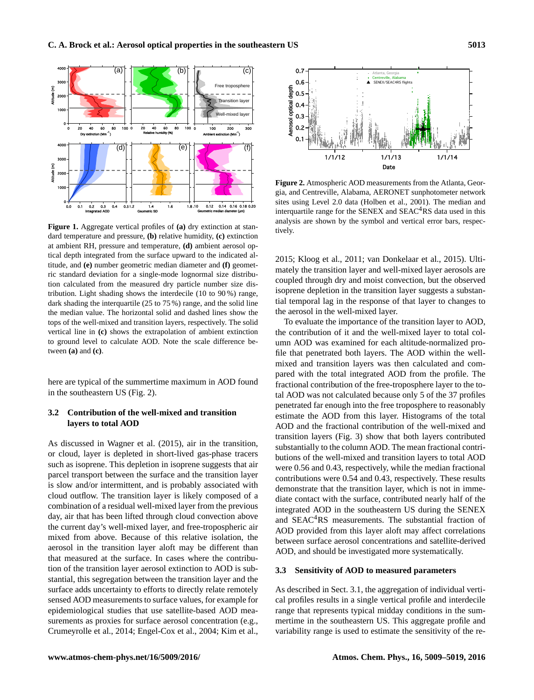

**Figure 1.** Aggregate vertical profiles of **(a)** dry extinction at standard temperature and pressure, **(b)** relative humidity, **(c)** extinction at ambient RH, pressure and temperature, **(d)** ambient aerosol optical depth integrated from the surface upward to the indicated altitude, and **(e)** number geometric median diameter and **(f)** geometric standard deviation for a single-mode lognormal size distribution calculated from the measured dry particle number size distribution. Light shading shows the interdecile (10 to 90 %) range, dark shading the interquartile (25 to 75 %) range, and the solid line the median value. The horizontal solid and dashed lines show the tops of the well-mixed and transition layers, respectively. The solid vertical line in **(c)** shows the extrapolation of ambient extinction to ground level to calculate AOD. Note the scale difference between **(a)** and **(c)**.

here are typical of the summertime maximum in AOD found in the southeastern US (Fig. 2).

# **3.2 Contribution of the well-mixed and transition layers to total AOD**

As discussed in Wagner et al. (2015), air in the transition, or cloud, layer is depleted in short-lived gas-phase tracers such as isoprene. This depletion in isoprene suggests that air parcel transport between the surface and the transition layer is slow and/or intermittent, and is probably associated with cloud outflow. The transition layer is likely composed of a combination of a residual well-mixed layer from the previous day, air that has been lifted through cloud convection above the current day's well-mixed layer, and free-tropospheric air mixed from above. Because of this relative isolation, the aerosol in the transition layer aloft may be different than that measured at the surface. In cases where the contribution of the transition layer aerosol extinction to AOD is substantial, this segregation between the transition layer and the surface adds uncertainty to efforts to directly relate remotely sensed AOD measurements to surface values, for example for epidemiological studies that use satellite-based AOD measurements as proxies for surface aerosol concentration (e.g., Crumeyrolle et al., 2014; Engel-Cox et al., 2004; Kim et al.,



**Figure 2.** Atmospheric AOD measurements from the Atlanta, Georgia, and Centreville, Alabama, AERONET sunphotometer network sites using Level 2.0 data (Holben et al., 2001). The median and interquartile range for the SENEX and  $SEAC<sup>4</sup>RS$  data used in this analysis are shown by the symbol and vertical error bars, respectively.

2015; Kloog et al., 2011; van Donkelaar et al., 2015). Ultimately the transition layer and well-mixed layer aerosols are coupled through dry and moist convection, but the observed isoprene depletion in the transition layer suggests a substantial temporal lag in the response of that layer to changes to the aerosol in the well-mixed layer.

To evaluate the importance of the transition layer to AOD, the contribution of it and the well-mixed layer to total column AOD was examined for each altitude-normalized profile that penetrated both layers. The AOD within the wellmixed and transition layers was then calculated and compared with the total integrated AOD from the profile. The fractional contribution of the free-troposphere layer to the total AOD was not calculated because only 5 of the 37 profiles penetrated far enough into the free troposphere to reasonably estimate the AOD from this layer. Histograms of the total AOD and the fractional contribution of the well-mixed and transition layers (Fig. 3) show that both layers contributed substantially to the column AOD. The mean fractional contributions of the well-mixed and transition layers to total AOD were 0.56 and 0.43, respectively, while the median fractional contributions were 0.54 and 0.43, respectively. These results demonstrate that the transition layer, which is not in immediate contact with the surface, contributed nearly half of the integrated AOD in the southeastern US during the SENEX and SEAC<sup>4</sup>RS measurements. The substantial fraction of AOD provided from this layer aloft may affect correlations between surface aerosol concentrations and satellite-derived AOD, and should be investigated more systematically.

# **3.3 Sensitivity of AOD to measured parameters**

As described in Sect. 3.1, the aggregation of individual vertical profiles results in a single vertical profile and interdecile range that represents typical midday conditions in the summertime in the southeastern US. This aggregate profile and variability range is used to estimate the sensitivity of the re-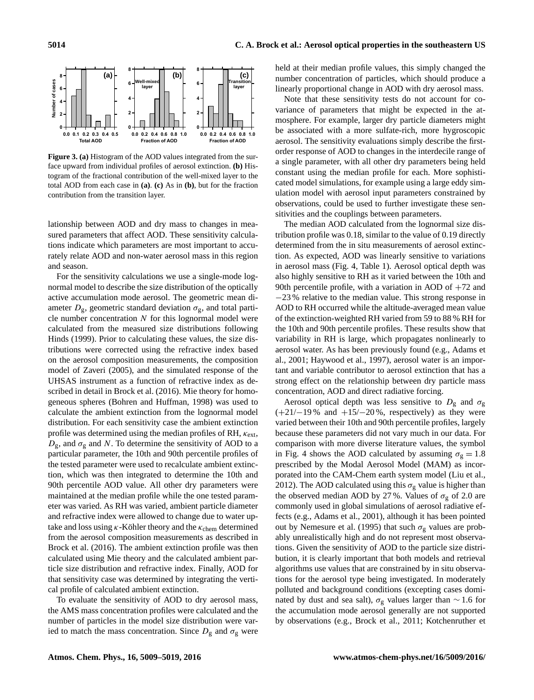

**Figure 3. (a)** Histogram of the AOD values integrated from the surface upward from individual profiles of aerosol extinction. **(b)** Histogram of the fractional contribution of the well-mixed layer to the total AOD from each case in **(a)**. **(c)** As in **(b)**, but for the fraction contribution from the transition layer.

lationship between AOD and dry mass to changes in measured parameters that affect AOD. These sensitivity calculations indicate which parameters are most important to accurately relate AOD and non-water aerosol mass in this region and season.

For the sensitivity calculations we use a single-mode lognormal model to describe the size distribution of the optically active accumulation mode aerosol. The geometric mean diameter  $D_{\varrho}$ , geometric standard deviation  $\sigma_{\varrho}$ , and total particle number concentration  $N$  for this lognormal model were calculated from the measured size distributions following Hinds (1999). Prior to calculating these values, the size distributions were corrected using the refractive index based on the aerosol composition measurements, the composition model of Zaveri (2005), and the simulated response of the UHSAS instrument as a function of refractive index as described in detail in Brock et al. (2016). Mie theory for homogeneous spheres (Bohren and Huffman, 1998) was used to calculate the ambient extinction from the lognormal model distribution. For each sensitivity case the ambient extinction profile was determined using the median profiles of RH,  $\kappa_{\text{ext}}$ ,  $D_{\rm g}$ , and  $\sigma_{\rm g}$  and N. To determine the sensitivity of AOD to a particular parameter, the 10th and 90th percentile profiles of the tested parameter were used to recalculate ambient extinction, which was then integrated to determine the 10th and 90th percentile AOD value. All other dry parameters were maintained at the median profile while the one tested parameter was varied. As RH was varied, ambient particle diameter and refractive index were allowed to change due to water uptake and loss using  $\kappa$ -Köhler theory and the  $\kappa_{\rm chem}$  determined from the aerosol composition measurements as described in Brock et al. (2016). The ambient extinction profile was then calculated using Mie theory and the calculated ambient particle size distribution and refractive index. Finally, AOD for that sensitivity case was determined by integrating the vertical profile of calculated ambient extinction.

To evaluate the sensitivity of AOD to dry aerosol mass, the AMS mass concentration profiles were calculated and the number of particles in the model size distribution were varied to match the mass concentration. Since  $D_{\rm g}$  and  $\sigma_{\rm g}$  were

held at their median profile values, this simply changed the number concentration of particles, which should produce a linearly proportional change in AOD with dry aerosol mass.

Note that these sensitivity tests do not account for covariance of parameters that might be expected in the atmosphere. For example, larger dry particle diameters might be associated with a more sulfate-rich, more hygroscopic aerosol. The sensitivity evaluations simply describe the firstorder response of AOD to changes in the interdecile range of a single parameter, with all other dry parameters being held constant using the median profile for each. More sophisticated model simulations, for example using a large eddy simulation model with aerosol input parameters constrained by observations, could be used to further investigate these sensitivities and the couplings between parameters.

The median AOD calculated from the lognormal size distribution profile was 0.18, similar to the value of 0.19 directly determined from the in situ measurements of aerosol extinction. As expected, AOD was linearly sensitive to variations in aerosol mass (Fig. 4, Table 1). Aerosol optical depth was also highly sensitive to RH as it varied between the 10th and 90th percentile profile, with a variation in AOD of  $+72$  and −23 % relative to the median value. This strong response in AOD to RH occurred while the altitude-averaged mean value of the extinction-weighted RH varied from 59 to 88 % RH for the 10th and 90th percentile profiles. These results show that variability in RH is large, which propagates nonlinearly to aerosol water. As has been previously found (e.g., Adams et al., 2001; Haywood et al., 1997), aerosol water is an important and variable contributor to aerosol extinction that has a strong effect on the relationship between dry particle mass concentration, AOD and direct radiative forcing.

Aerosol optical depth was less sensitive to  $D_g$  and  $\sigma_g$  $(+21/-19\%$  and  $+15/-20\%$ , respectively) as they were varied between their 10th and 90th percentile profiles, largely because these parameters did not vary much in our data. For comparison with more diverse literature values, the symbol in Fig. 4 shows the AOD calculated by assuming  $\sigma_{\rm g} = 1.8$ prescribed by the Modal Aerosol Model (MAM) as incorporated into the CAM-Chem earth system model (Liu et al., 2012). The AOD calculated using this  $\sigma_{\rm g}$  value is higher than the observed median AOD by 27%. Values of  $\sigma_{\rm g}$  of 2.0 are commonly used in global simulations of aerosol radiative effects (e.g., Adams et al., 2001), although it has been pointed out by Nemesure et al. (1995) that such  $\sigma_{\rm g}$  values are probably unrealistically high and do not represent most observations. Given the sensitivity of AOD to the particle size distribution, it is clearly important that both models and retrieval algorithms use values that are constrained by in situ observations for the aerosol type being investigated. In moderately polluted and background conditions (excepting cases dominated by dust and sea salt),  $\sigma$ <sub>g</sub> values larger than ∼ 1.6 for the accumulation mode aerosol generally are not supported by observations (e.g., Brock et al., 2011; Kotchenruther et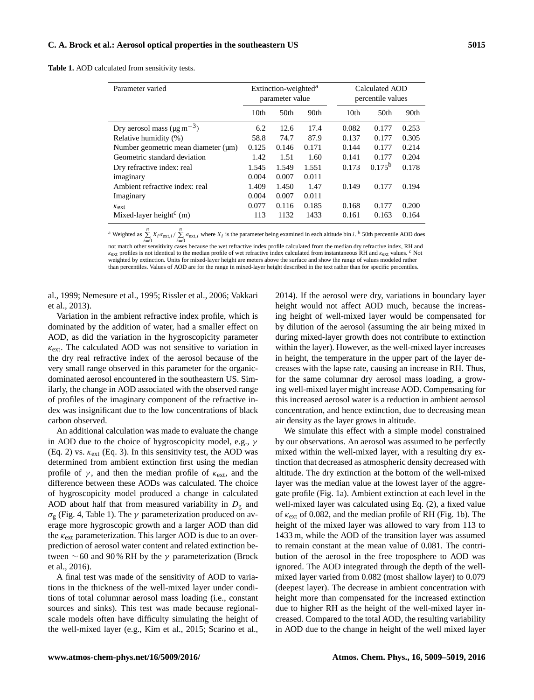**Table 1.** AOD calculated from sensitivity tests.

| Parameter varied                             | Extinction-weighted <sup>a</sup><br>parameter value |                  |                  | Calculated AOD<br>percentile values |                  |       |
|----------------------------------------------|-----------------------------------------------------|------------------|------------------|-------------------------------------|------------------|-------|
|                                              | 10 <sub>th</sub>                                    | 50 <sub>th</sub> | 90 <sub>th</sub> | 10 <sub>th</sub>                    | 50 <sub>th</sub> | 90th  |
| Dry aerosol mass ( $\mu$ g m <sup>-3</sup> ) | 6.2                                                 | 12.6             | 17.4             | 0.082                               | 0.177            | 0.253 |
| Relative humidity (%)                        | 58.8                                                | 74.7             | 87.9             | 0.137                               | 0.177            | 0.305 |
| Number geometric mean diameter $(\mu m)$     | 0.125                                               | 0.146            | 0.171            | 0.144                               | 0.177            | 0.214 |
| Geometric standard deviation                 | 1.42                                                | 1.51             | 1.60             | 0.141                               | 0.177            | 0.204 |
| Dry refractive index: real                   | 1.545                                               | 1.549            | 1.551            | 0.173                               | $0.175^{b}$      | 0.178 |
| imaginary                                    | 0.004                                               | 0.007            | 0.011            |                                     |                  |       |
| Ambient refractive index: real               | 1.409                                               | 1.450            | 1.47             | 0.149                               | 0.177            | 0.194 |
| Imaginary                                    | 0.004                                               | 0.007            | 0.011            |                                     |                  |       |
| $\kappa_{\rm ext}$                           | 0.077                                               | 0.116            | 0.185            | 0.168                               | 0.177            | 0.200 |
| Mixed-layer height <sup>c</sup> (m)          | 113                                                 | 1132             | 1433             | 0.161                               | 0.163            | 0.164 |

<sup>a</sup> Weighted as  $\sum_{i=0}^{n} X_i \sigma_{\text{ext},i} / \sum_{i=0}^{n} \sigma_{\text{ext},i}$  where  $X_i$  is the parameter being examined in each altitude bin *i*. <sup>b</sup> 50th percentile AOD does

not match other sensitivity cases because the wet refractive index profile calculated from the median dry refractive index, RH and κext profiles is not identical to the median profile of wet refractive index calculated from instantaneous RH and κext values. <sup>c</sup> Not weighted by extinction. Units for mixed-layer height are meters above the surface and show the range of values modeled rather than percentiles. Values of AOD are for the range in mixed-layer height described in the text rather than for specific percentiles.

al., 1999; Nemesure et al., 1995; Rissler et al., 2006; Vakkari et al., 2013).

Variation in the ambient refractive index profile, which is dominated by the addition of water, had a smaller effect on AOD, as did the variation in the hygroscopicity parameter  $\kappa_{\rm ext}$ . The calculated AOD was not sensitive to variation in the dry real refractive index of the aerosol because of the very small range observed in this parameter for the organicdominated aerosol encountered in the southeastern US. Similarly, the change in AOD associated with the observed range of profiles of the imaginary component of the refractive index was insignificant due to the low concentrations of black carbon observed.

An additional calculation was made to evaluate the change in AOD due to the choice of hygroscopicity model, e.g.,  $\gamma$ (Eq. 2) vs.  $\kappa_{\rm ext}$  (Eq. 3). In this sensitivity test, the AOD was determined from ambient extinction first using the median profile of  $\gamma$ , and then the median profile of  $\kappa$ <sub>ext</sub>, and the difference between these AODs was calculated. The choice of hygroscopicity model produced a change in calculated AOD about half that from measured variability in  $D_g$  and σ<sup>g</sup> (Fig. 4, Table 1). The γ parameterization produced on average more hygroscopic growth and a larger AOD than did the  $\kappa_{\rm ext}$  parameterization. This larger AOD is due to an overprediction of aerosol water content and related extinction between  $\sim$  60 and 90 % RH by the  $\gamma$  parameterization (Brock et al., 2016).

A final test was made of the sensitivity of AOD to variations in the thickness of the well-mixed layer under conditions of total columnar aerosol mass loading (i.e., constant sources and sinks). This test was made because regionalscale models often have difficulty simulating the height of the well-mixed layer (e.g., Kim et al., 2015; Scarino et al., 2014). If the aerosol were dry, variations in boundary layer height would not affect AOD much, because the increasing height of well-mixed layer would be compensated for by dilution of the aerosol (assuming the air being mixed in during mixed-layer growth does not contribute to extinction within the layer). However, as the well-mixed layer increases in height, the temperature in the upper part of the layer decreases with the lapse rate, causing an increase in RH. Thus, for the same columnar dry aerosol mass loading, a growing well-mixed layer might increase AOD. Compensating for this increased aerosol water is a reduction in ambient aerosol concentration, and hence extinction, due to decreasing mean air density as the layer grows in altitude.

We simulate this effect with a simple model constrained by our observations. An aerosol was assumed to be perfectly mixed within the well-mixed layer, with a resulting dry extinction that decreased as atmospheric density decreased with altitude. The dry extinction at the bottom of the well-mixed layer was the median value at the lowest layer of the aggregate profile (Fig. 1a). Ambient extinction at each level in the well-mixed layer was calculated using Eq. (2), a fixed value of  $\kappa_{\rm ext}$  of 0.082, and the median profile of RH (Fig. 1b). The height of the mixed layer was allowed to vary from 113 to 1433 m, while the AOD of the transition layer was assumed to remain constant at the mean value of 0.081. The contribution of the aerosol in the free troposphere to AOD was ignored. The AOD integrated through the depth of the wellmixed layer varied from 0.082 (most shallow layer) to 0.079 (deepest layer). The decrease in ambient concentration with height more than compensated for the increased extinction due to higher RH as the height of the well-mixed layer increased. Compared to the total AOD, the resulting variability in AOD due to the change in height of the well mixed layer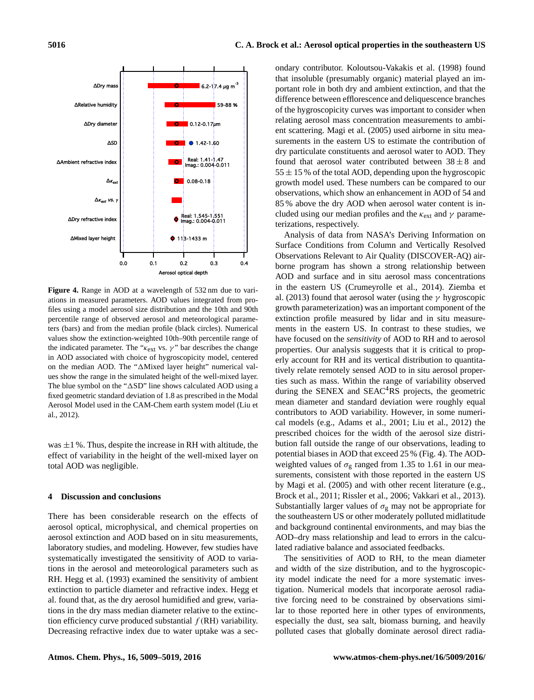∆Mixed layer height ∆Dry refractive index ∆<sup>κ</sup>ext vs. <sup>γ</sup>  $\Delta t$ ∆Ambient refractive index ∆SD ∆Dry diameter ∆Relative humidity ∆Dry m 0.0 0.1 0.2 0.3 0.4 Aerosol optical depth Real: 1.41-1.47 Imag.: 0.004-0.011 0.08-0.18  $• 1.42 - 1.60$  $\blacksquare$  0.12-0.17 $\mu$ m 59-88 %  $6.2 - 17.4 \,\mu g \, m$ Real: 1.545-1.551 Imag.: 0.004-0.011  $0.113 - 1433$  m

**Figure 4.** Range in AOD at a wavelength of 532 nm due to variations in measured parameters. AOD values integrated from profiles using a model aerosol size distribution and the 10th and 90th percentile range of observed aerosol and meteorological parameters (bars) and from the median profile (black circles). Numerical values show the extinction-weighted 10th–90th percentile range of the indicated parameter. The " $\kappa_{\rm ext}$  vs.  $\gamma$ " bar describes the change in AOD associated with choice of hygroscopicity model, centered on the median AOD. The " $\Delta$ Mixed layer height" numerical values show the range in the simulated height of the well-mixed layer. The blue symbol on the " $\Delta SD$ " line shows calculated AOD using a fixed geometric standard deviation of 1.8 as prescribed in the Modal Aerosol Model used in the CAM-Chem earth system model (Liu et al., 2012).

was  $\pm 1$  %. Thus, despite the increase in RH with altitude, the effect of variability in the height of the well-mixed layer on total AOD was negligible.

# **4 Discussion and conclusions**

There has been considerable research on the effects of aerosol optical, microphysical, and chemical properties on aerosol extinction and AOD based on in situ measurements, laboratory studies, and modeling. However, few studies have systematically investigated the sensitivity of AOD to variations in the aerosol and meteorological parameters such as RH. Hegg et al. (1993) examined the sensitivity of ambient extinction to particle diameter and refractive index. Hegg et al. found that, as the dry aerosol humidified and grew, variations in the dry mass median diameter relative to the extinction efficiency curve produced substantial  $f(RH)$  variability. Decreasing refractive index due to water uptake was a sec-

ondary contributor. Koloutsou-Vakakis et al. (1998) found that insoluble (presumably organic) material played an important role in both dry and ambient extinction, and that the difference between efflorescence and deliquescence branches of the hygroscopicity curves was important to consider when relating aerosol mass concentration measurements to ambient scattering. Magi et al. (2005) used airborne in situ measurements in the eastern US to estimate the contribution of dry particulate constituents and aerosol water to AOD. They found that aerosol water contributed between  $38 \pm 8$  and  $55 \pm 15$ % of the total AOD, depending upon the hygroscopic growth model used. These numbers can be compared to our observations, which show an enhancement in AOD of 54 and 85 % above the dry AOD when aerosol water content is included using our median profiles and the  $\kappa_{\text{ext}}$  and  $\gamma$  parameterizations, respectively.

Analysis of data from NASA's Deriving Information on Surface Conditions from Column and Vertically Resolved Observations Relevant to Air Quality (DISCOVER-AQ) airborne program has shown a strong relationship between AOD and surface and in situ aerosol mass concentrations in the eastern US (Crumeyrolle et al., 2014). Ziemba et al. (2013) found that aerosol water (using the  $\gamma$  hygroscopic growth parameterization) was an important component of the extinction profile measured by lidar and in situ measurements in the eastern US. In contrast to these studies, we have focused on the *sensitivity* of AOD to RH and to aerosol properties. Our analysis suggests that it is critical to properly account for RH and its vertical distribution to quantitatively relate remotely sensed AOD to in situ aerosol properties such as mass. Within the range of variability observed during the SENEX and  $SEAC<sup>4</sup>RS$  projects, the geometric mean diameter and standard deviation were roughly equal contributors to AOD variability. However, in some numerical models (e.g., Adams et al., 2001; Liu et al., 2012) the prescribed choices for the width of the aerosol size distribution fall outside the range of our observations, leading to potential biases in AOD that exceed 25 % (Fig. 4). The AODweighted values of  $\sigma_{\rm g}$  ranged from 1.35 to 1.61 in our measurements, consistent with those reported in the eastern US by Magi et al. (2005) and with other recent literature (e.g., Brock et al., 2011; Rissler et al., 2006; Vakkari et al., 2013). Substantially larger values of  $\sigma_{\rm g}$  may not be appropriate for the southeastern US or other moderately polluted midlatitude and background continental environments, and may bias the AOD–dry mass relationship and lead to errors in the calculated radiative balance and associated feedbacks.

The sensitivities of AOD to RH, to the mean diameter and width of the size distribution, and to the hygroscopicity model indicate the need for a more systematic investigation. Numerical models that incorporate aerosol radiative forcing need to be constrained by observations similar to those reported here in other types of environments, especially the dust, sea salt, biomass burning, and heavily polluted cases that globally dominate aerosol direct radia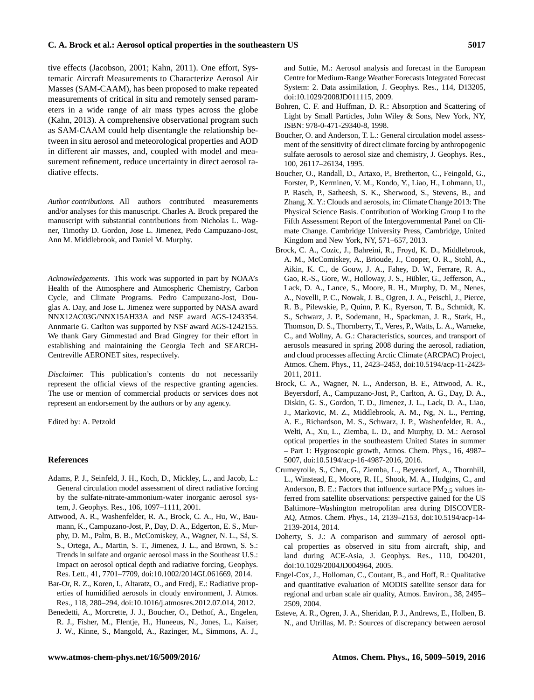tive effects (Jacobson, 2001; Kahn, 2011). One effort, Systematic Aircraft Measurements to Characterize Aerosol Air Masses (SAM-CAAM), has been proposed to make repeated measurements of critical in situ and remotely sensed parameters in a wide range of air mass types across the globe (Kahn, 2013). A comprehensive observational program such as SAM-CAAM could help disentangle the relationship between in situ aerosol and meteorological properties and AOD in different air masses, and, coupled with model and measurement refinement, reduce uncertainty in direct aerosol radiative effects.

*Author contributions.* All authors contributed measurements and/or analyses for this manuscript. Charles A. Brock prepared the manuscript with substantial contributions from Nicholas L. Wagner, Timothy D. Gordon, Jose L. Jimenez, Pedo Campuzano-Jost, Ann M. Middlebrook, and Daniel M. Murphy.

*Acknowledgements.* This work was supported in part by NOAA's Health of the Atmosphere and Atmospheric Chemistry, Carbon Cycle, and Climate Programs. Pedro Campuzano-Jost, Douglas A. Day, and Jose L. Jimenez were supported by NASA award NNX12AC03G/NNX15AH33A and NSF award AGS-1243354. Annmarie G. Carlton was supported by NSF award AGS-1242155. We thank Gary Gimmestad and Brad Gingrey for their effort in establishing and maintaining the Georgia Tech and SEARCH-Centreville AERONET sites, respectively.

*Disclaimer.* This publication's contents do not necessarily represent the official views of the respective granting agencies. The use or mention of commercial products or services does not represent an endorsement by the authors or by any agency.

Edited by: A. Petzold

## **References**

- Adams, P. J., Seinfeld, J. H., Koch, D., Mickley, L., and Jacob, L.: General circulation model assessment of direct radiative forcing by the sulfate-nitrate-ammonium-water inorganic aerosol system, J. Geophys. Res., 106, 1097–1111, 2001.
- Attwood, A. R., Washenfelder, R. A., Brock, C. A., Hu, W., Baumann, K., Campuzano-Jost, P., Day, D. A., Edgerton, E. S., Murphy, D. M., Palm, B. B., McComiskey, A., Wagner, N. L., Sá, S. S., Ortega, A., Martin, S. T., Jimenez, J. L., and Brown, S. S.: Trends in sulfate and organic aerosol mass in the Southeast U.S.: Impact on aerosol optical depth and radiative forcing, Geophys. Res. Lett., 41, 7701–7709, doi[:10.1002/2014GL061669,](http://dx.doi.org/10.1002/2014GL061669) 2014.
- Bar-Or, R. Z., Koren, I., Altaratz, O., and Fredj, E.: Radiative properties of humidified aerosols in cloudy environment, J. Atmos. Res., 118, 280–294, doi[:10.1016/j.atmosres.2012.07.014,](http://dx.doi.org/10.1016/j.atmosres.2012.07.014) 2012.
- Benedetti, A., Morcrette, J. J., Boucher, O., Dethof, A., Engelen, R. J., Fisher, M., Flentje, H., Huneeus, N., Jones, L., Kaiser, J. W., Kinne, S., Mangold, A., Razinger, M., Simmons, A. J.,

and Suttie, M.: Aerosol analysis and forecast in the European Centre for Medium-Range Weather Forecasts Integrated Forecast System: 2. Data assimilation, J. Geophys. Res., 114, D13205, doi[:10.1029/2008JD011115,](http://dx.doi.org/10.1029/2008JD011115) 2009.

- Bohren, C. F. and Huffman, D. R.: Absorption and Scattering of Light by Small Particles, John Wiley & Sons, New York, NY, ISBN: 978-0-471-29340-8, 1998.
- Boucher, O. and Anderson, T. L.: General circulation model assessment of the sensitivity of direct climate forcing by anthropogenic sulfate aerosols to aerosol size and chemistry, J. Geophys. Res., 100, 26117–26134, 1995.
- Boucher, O., Randall, D., Artaxo, P., Bretherton, C., Feingold, G., Forster, P., Kerminen, V. M., Kondo, Y., Liao, H., Lohmann, U., P. Rasch, P., Satheesh, S. K., Sherwood, S., Stevens, B., and Zhang, X. Y.: Clouds and aerosols, in: Climate Change 2013: The Physical Science Basis. Contribution of Working Group I to the Fifth Assessment Report of the Intergovernmental Panel on Climate Change. Cambridge University Press, Cambridge, United Kingdom and New York, NY, 571–657, 2013.
- Brock, C. A., Cozic, J., Bahreini, R., Froyd, K. D., Middlebrook, A. M., McComiskey, A., Brioude, J., Cooper, O. R., Stohl, A., Aikin, K. C., de Gouw, J. A., Fahey, D. W., Ferrare, R. A., Gao, R.-S., Gore, W., Holloway, J. S., Hübler, G., Jefferson, A., Lack, D. A., Lance, S., Moore, R. H., Murphy, D. M., Nenes, A., Novelli, P. C., Nowak, J. B., Ogren, J. A., Peischl, J., Pierce, R. B., Pilewskie, P., Quinn, P. K., Ryerson, T. B., Schmidt, K. S., Schwarz, J. P., Sodemann, H., Spackman, J. R., Stark, H., Thomson, D. S., Thornberry, T., Veres, P., Watts, L. A., Warneke, C., and Wollny, A. G.: Characteristics, sources, and transport of aerosols measured in spring 2008 during the aerosol, radiation, and cloud processes affecting Arctic Climate (ARCPAC) Project, Atmos. Chem. Phys., 11, 2423–2453, doi[:10.5194/acp-11-2423-](http://dx.doi.org/10.5194/acp-11-2423-2011) [2011,](http://dx.doi.org/10.5194/acp-11-2423-2011) 2011.
- Brock, C. A., Wagner, N. L., Anderson, B. E., Attwood, A. R., Beyersdorf, A., Campuzano-Jost, P., Carlton, A. G., Day, D. A., Diskin, G. S., Gordon, T. D., Jimenez, J. L., Lack, D. A., Liao, J., Markovic, M. Z., Middlebrook, A. M., Ng, N. L., Perring, A. E., Richardson, M. S., Schwarz, J. P., Washenfelder, R. A., Welti, A., Xu, L., Ziemba, L. D., and Murphy, D. M.: Aerosol optical properties in the southeastern United States in summer – Part 1: Hygroscopic growth, Atmos. Chem. Phys., 16, 4987– 5007, doi[:10.5194/acp-16-4987-2016,](http://dx.doi.org/10.5194/acp-16-4987-2016) 2016.
- Crumeyrolle, S., Chen, G., Ziemba, L., Beyersdorf, A., Thornhill, L., Winstead, E., Moore, R. H., Shook, M. A., Hudgins, C., and Anderson, B. E.: Factors that influence surface  $PM<sub>2</sub>$  s values inferred from satellite observations: perspective gained for the US Baltimore–Washington metropolitan area during DISCOVER-AQ, Atmos. Chem. Phys., 14, 2139–2153, doi[:10.5194/acp-14-](http://dx.doi.org/10.5194/acp-14-2139-2014) [2139-2014,](http://dx.doi.org/10.5194/acp-14-2139-2014) 2014.
- Doherty, S. J.: A comparison and summary of aerosol optical properties as observed in situ from aircraft, ship, and land during ACE-Asia, J. Geophys. Res., 110, D04201, doi[:10.1029/2004JD004964,](http://dx.doi.org/10.1029/2004JD004964) 2005.
- Engel-Cox, J., Holloman, C., Coutant, B., and Hoff, R.: Qualitative and quantitative evaluation of MODIS satellite sensor data for regional and urban scale air quality, Atmos. Environ., 38, 2495– 2509, 2004.
- Esteve, A. R., Ogren, J. A., Sheridan, P. J., Andrews, E., Holben, B. N., and Utrillas, M. P.: Sources of discrepancy between aerosol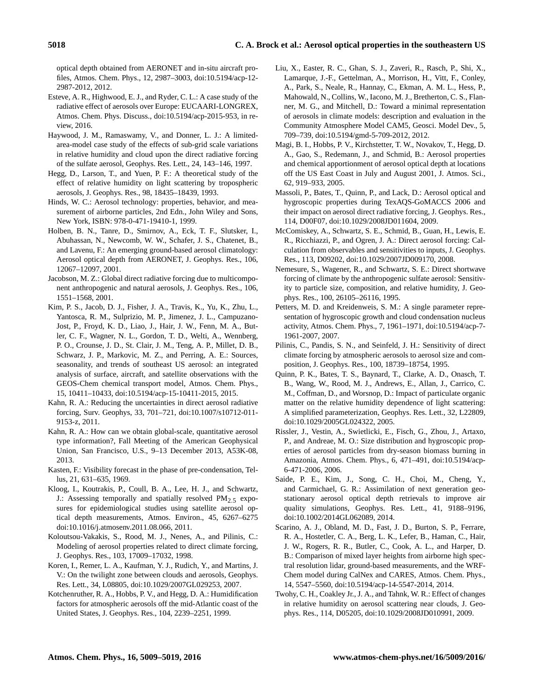optical depth obtained from AERONET and in-situ aircraft profiles, Atmos. Chem. Phys., 12, 2987–3003, doi[:10.5194/acp-12-](http://dx.doi.org/10.5194/acp-12-2987-2012) [2987-2012,](http://dx.doi.org/10.5194/acp-12-2987-2012) 2012.

- Esteve, A. R., Highwood, E. J., and Ryder, C. L.: A case study of the radiative effect of aerosols over Europe: EUCAARI-LONGREX, Atmos. Chem. Phys. Discuss., doi[:10.5194/acp-2015-953,](http://dx.doi.org/10.5194/acp-2015-953) in review, 2016.
- Haywood, J. M., Ramaswamy, V., and Donner, L. J.: A limitedarea-model case study of the effects of sub-grid scale variations in relative humidity and cloud upon the direct radiative forcing of the sulfate aerosol, Geophys. Res. Lett., 24, 143–146, 1997.
- Hegg, D., Larson, T., and Yuen, P. F.: A theoretical study of the effect of relative humidity on light scattering by tropospheric aerosols, J. Geophys. Res., 98, 18435–18439, 1993.
- Hinds, W. C.: Aerosol technology: properties, behavior, and measurement of airborne particles, 2nd Edn., John Wiley and Sons, New York, ISBN: 978-0-471-19410-1, 1999.
- Holben, B. N., Tanre, D., Smirnov, A., Eck, T. F., Slutsker, I., Abuhassan, N., Newcomb, W. W., Schafer, J. S., Chatenet, B., and Lavenu, F.: An emerging ground-based aerosol climatology: Aerosol optical depth from AERONET, J. Geophys. Res., 106, 12067–12097, 2001.
- Jacobson, M. Z.: Global direct radiative forcing due to multicomponent anthropogenic and natural aerosols, J. Geophys. Res., 106, 1551–1568, 2001.
- Kim, P. S., Jacob, D. J., Fisher, J. A., Travis, K., Yu, K., Zhu, L., Yantosca, R. M., Sulprizio, M. P., Jimenez, J. L., Campuzano-Jost, P., Froyd, K. D., Liao, J., Hair, J. W., Fenn, M. A., Butler, C. F., Wagner, N. L., Gordon, T. D., Welti, A., Wennberg, P. O., Crounse, J. D., St. Clair, J. M., Teng, A. P., Millet, D. B., Schwarz, J. P., Markovic, M. Z., and Perring, A. E.: Sources, seasonality, and trends of southeast US aerosol: an integrated analysis of surface, aircraft, and satellite observations with the GEOS-Chem chemical transport model, Atmos. Chem. Phys., 15, 10411–10433, doi[:10.5194/acp-15-10411-2015,](http://dx.doi.org/10.5194/acp-15-10411-2015) 2015.
- Kahn, R. A.: Reducing the uncertainties in direct aerosol radiative forcing, Surv. Geophys, 33, 701–721, doi[:10.1007/s10712-011-](http://dx.doi.org/10.1007/s10712-011-9153-z) [9153-z,](http://dx.doi.org/10.1007/s10712-011-9153-z) 2011.
- Kahn, R. A.: How can we obtain global-scale, quantitative aerosol type information?, Fall Meeting of the American Geophysical Union, San Francisco, U.S., 9–13 December 2013, A53K-08, 2013.
- Kasten, F.: Visibility forecast in the phase of pre-condensation, Tellus, 21, 631–635, 1969.
- Kloog, I., Koutrakis, P., Coull, B. A., Lee, H. J., and Schwartz, J.: Assessing temporally and spatially resolved  $PM_{2.5}$  exposures for epidemiological studies using satellite aerosol optical depth measurements, Atmos. Environ., 45, 6267–6275 doi[:10.1016/j.atmosenv.2011.08.066,](http://dx.doi.org/10.1016/j.atmosenv.2011.08.066) 2011.
- Koloutsou-Vakakis, S., Rood, M. J., Nenes, A., and Pilinis, C.: Modeling of aerosol properties related to direct climate forcing, J. Geophys. Res., 103, 17009–17032, 1998.
- Koren, I., Remer, L. A., Kaufman, Y. J., Rudich, Y., and Martins, J. V.: On the twilight zone between clouds and aerosols, Geophys. Res. Lett., 34, L08805, doi[:10.1029/2007GL029253,](http://dx.doi.org/10.1029/2007GL029253) 2007.
- Kotchenruther, R. A., Hobbs, P. V., and Hegg, D. A.: Humidification factors for atmospheric aerosols off the mid-Atlantic coast of the United States, J. Geophys. Res., 104, 2239–2251, 1999.
- Liu, X., Easter, R. C., Ghan, S. J., Zaveri, R., Rasch, P., Shi, X., Lamarque, J.-F., Gettelman, A., Morrison, H., Vitt, F., Conley, A., Park, S., Neale, R., Hannay, C., Ekman, A. M. L., Hess, P., Mahowald, N., Collins, W., Iacono, M. J., Bretherton, C. S., Flanner, M. G., and Mitchell, D.: Toward a minimal representation of aerosols in climate models: description and evaluation in the Community Atmosphere Model CAM5, Geosci. Model Dev., 5, 709–739, doi[:10.5194/gmd-5-709-2012,](http://dx.doi.org/10.5194/gmd-5-709-2012) 2012.
- Magi, B. I., Hobbs, P. V., Kirchstetter, T. W., Novakov, T., Hegg, D. A., Gao, S., Redemann, J., and Schmid, B.: Aerosol properties and chemical apportionment of aerosol optical depth at locations off the US East Coast in July and August 2001, J. Atmos. Sci., 62, 919–933, 2005.
- Massoli, P., Bates, T., Quinn, P., and Lack, D.: Aerosol optical and hygroscopic properties during TexAQS-GoMACCS 2006 and their impact on aerosol direct radiative forcing, J. Geophys. Res., 114, D00F07, doi[:10.1029/2008JD011604,](http://dx.doi.org/10.1029/2008JD011604) 2009.
- McComiskey, A., Schwartz, S. E., Schmid, B., Guan, H., Lewis, E. R., Ricchiazzi, P., and Ogren, J. A.: Direct aerosol forcing: Calculation from observables and sensitivities to inputs, J. Geophys. Res., 113, D09202, doi[:10.1029/2007JD009170,](http://dx.doi.org/10.1029/2007JD009170) 2008.
- Nemesure, S., Wagener, R., and Schwartz, S. E.: Direct shortwave forcing of climate by the anthropogenic sulfate aerosol: Sensitivity to particle size, composition, and relative humidity, J. Geophys. Res., 100, 26105–26116, 1995.
- Petters, M. D. and Kreidenweis, S. M.: A single parameter representation of hygroscopic growth and cloud condensation nucleus activity, Atmos. Chem. Phys., 7, 1961–1971, doi[:10.5194/acp-7-](http://dx.doi.org/10.5194/acp-7-1961-2007) [1961-2007,](http://dx.doi.org/10.5194/acp-7-1961-2007) 2007.
- Pilinis, C., Pandis, S. N., and Seinfeld, J. H.: Sensitivity of direct climate forcing by atmospheric aerosols to aerosol size and composition, J. Geophys. Res., 100, 18739–18754, 1995.
- Quinn, P. K., Bates, T. S., Baynard, T., Clarke, A. D., Onasch, T. B., Wang, W., Rood, M. J., Andrews, E., Allan, J., Carrico, C. M., Coffman, D., and Worsnop, D.: Impact of particulate organic matter on the relative humidity dependence of light scattering: A simplified parameterization, Geophys. Res. Lett., 32, L22809, doi[:10.1029/2005GL024322,](http://dx.doi.org/10.1029/2005GL024322) 2005.
- Rissler, J., Vestin, A., Swietlicki, E., Fisch, G., Zhou, J., Artaxo, P., and Andreae, M. O.: Size distribution and hygroscopic properties of aerosol particles from dry-season biomass burning in Amazonia, Atmos. Chem. Phys., 6, 471–491, doi[:10.5194/acp-](http://dx.doi.org/10.5194/acp-6-471-2006)[6-471-2006,](http://dx.doi.org/10.5194/acp-6-471-2006) 2006.
- Saide, P. E., Kim, J., Song, C. H., Choi, M., Cheng, Y., and Carmichael, G. R.: Assimilation of next generation geostationary aerosol optical depth retrievals to improve air quality simulations, Geophys. Res. Lett., 41, 9188–9196, doi[:10.1002/2014GL062089,](http://dx.doi.org/10.1002/2014GL062089) 2014.
- Scarino, A. J., Obland, M. D., Fast, J. D., Burton, S. P., Ferrare, R. A., Hostetler, C. A., Berg, L. K., Lefer, B., Haman, C., Hair, J. W., Rogers, R. R., Butler, C., Cook, A. L., and Harper, D. B.: Comparison of mixed layer heights from airborne high spectral resolution lidar, ground-based measurements, and the WRF-Chem model during CalNex and CARES, Atmos. Chem. Phys., 14, 5547–5560, doi[:10.5194/acp-14-5547-2014,](http://dx.doi.org/10.5194/acp-14-5547-2014) 2014.
- Twohy, C. H., Coakley Jr., J. A., and Tahnk, W. R.: Effect of changes in relative humidity on aerosol scattering near clouds, J. Geophys. Res., 114, D05205, doi[:10.1029/2008JD010991,](http://dx.doi.org/10.1029/2008JD010991) 2009.